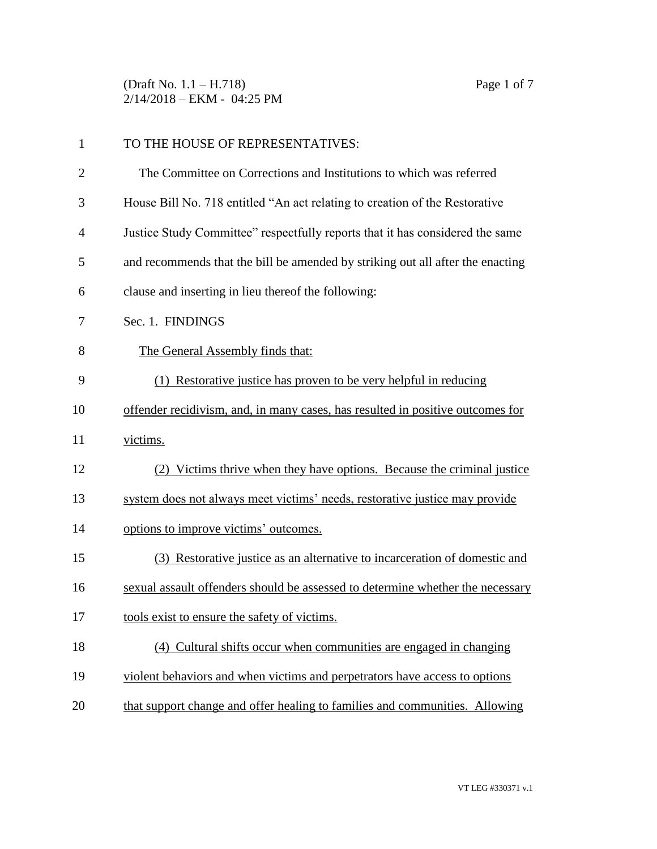(Draft No. 1.1 – H.718) Page 1 of 7 2/14/2018 – EKM - 04:25 PM

| $\mathbf{1}$   | TO THE HOUSE OF REPRESENTATIVES:                                               |  |
|----------------|--------------------------------------------------------------------------------|--|
| $\overline{2}$ | The Committee on Corrections and Institutions to which was referred            |  |
| 3              | House Bill No. 718 entitled "An act relating to creation of the Restorative    |  |
| 4              | Justice Study Committee" respectfully reports that it has considered the same  |  |
| 5              | and recommends that the bill be amended by striking out all after the enacting |  |
| 6              | clause and inserting in lieu thereof the following:                            |  |
| 7              | Sec. 1. FINDINGS                                                               |  |
| 8              | The General Assembly finds that:                                               |  |
| 9              | (1) Restorative justice has proven to be very helpful in reducing              |  |
| 10             | offender recidivism, and, in many cases, has resulted in positive outcomes for |  |
| 11             | victims.                                                                       |  |
| 12             | (2) Victims thrive when they have options. Because the criminal justice        |  |
| 13             | system does not always meet victims' needs, restorative justice may provide    |  |
| 14             | options to improve victims' outcomes.                                          |  |
| 15             | (3) Restorative justice as an alternative to incarceration of domestic and     |  |
| 16             | sexual assault offenders should be assessed to determine whether the necessary |  |
| 17             | tools exist to ensure the safety of victims.                                   |  |
| 18             | (4) Cultural shifts occur when communities are engaged in changing             |  |
| 19             | violent behaviors and when victims and perpetrators have access to options     |  |
| 20             | that support change and offer healing to families and communities. Allowing    |  |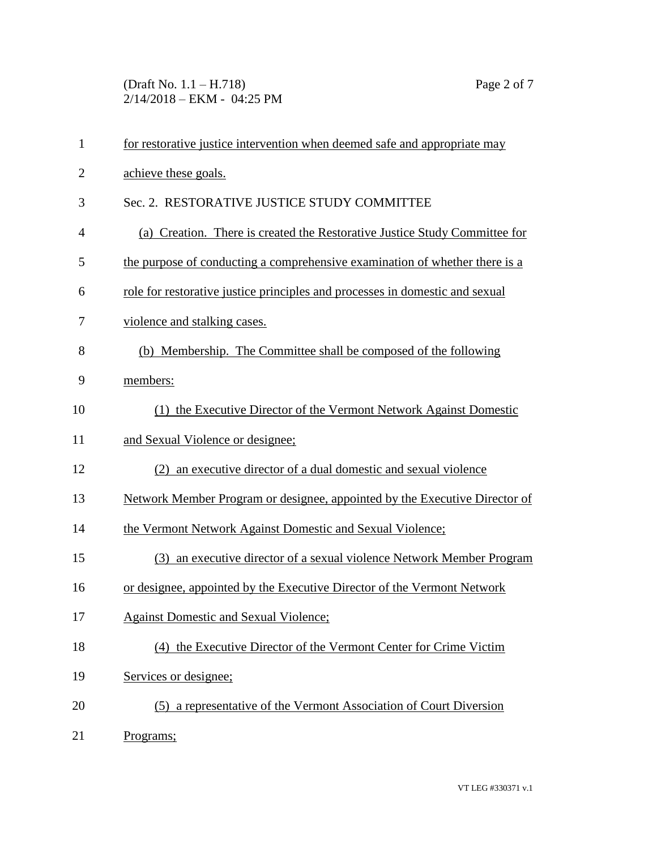(Draft No. 1.1 – H.718) Page 2 of 7 2/14/2018 – EKM - 04:25 PM

| $\mathbf{1}$   | for restorative justice intervention when deemed safe and appropriate may    |  |  |
|----------------|------------------------------------------------------------------------------|--|--|
| $\overline{2}$ | achieve these goals.                                                         |  |  |
| 3              | Sec. 2. RESTORATIVE JUSTICE STUDY COMMITTEE                                  |  |  |
| $\overline{4}$ | (a) Creation. There is created the Restorative Justice Study Committee for   |  |  |
| 5              | the purpose of conducting a comprehensive examination of whether there is a  |  |  |
| 6              | role for restorative justice principles and processes in domestic and sexual |  |  |
| 7              | violence and stalking cases.                                                 |  |  |
| 8              | (b) Membership. The Committee shall be composed of the following             |  |  |
| 9              | members:                                                                     |  |  |
| 10             | (1) the Executive Director of the Vermont Network Against Domestic           |  |  |
| 11             | and Sexual Violence or designee;                                             |  |  |
| 12             | (2) an executive director of a dual domestic and sexual violence             |  |  |
| 13             | Network Member Program or designee, appointed by the Executive Director of   |  |  |
| 14             | the Vermont Network Against Domestic and Sexual Violence;                    |  |  |
| 15             | (3) an executive director of a sexual violence Network Member Program        |  |  |
| 16             | or designee, appointed by the Executive Director of the Vermont Network      |  |  |
| 17             | <b>Against Domestic and Sexual Violence;</b>                                 |  |  |
| 18             | (4) the Executive Director of the Vermont Center for Crime Victim            |  |  |
| 19             | Services or designee;                                                        |  |  |
| 20             | (5) a representative of the Vermont Association of Court Diversion           |  |  |
| 21             | Programs;                                                                    |  |  |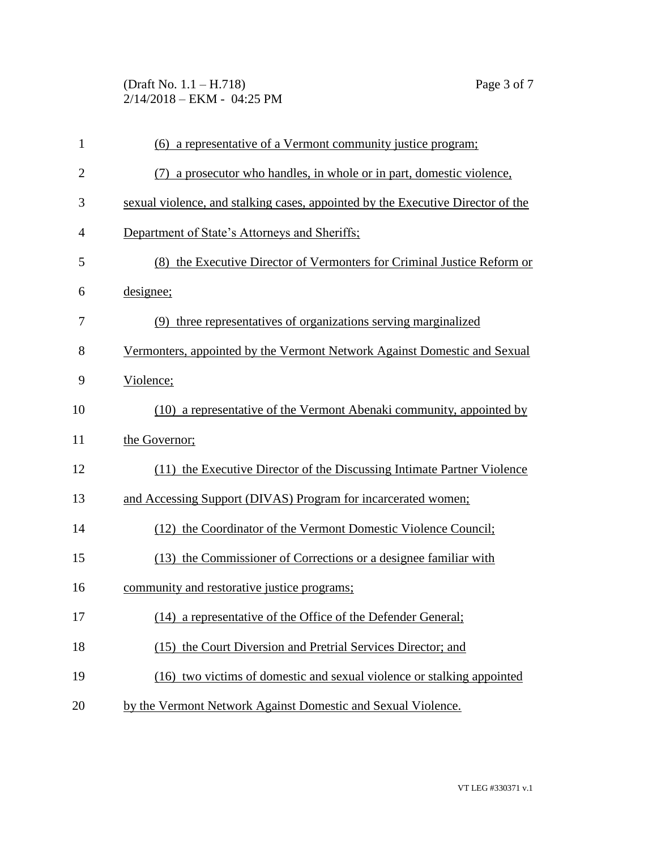(Draft No. 1.1 – H.718) Page 3 of 7 2/14/2018 – EKM - 04:25 PM

| $\mathbf{1}$   | (6) a representative of a Vermont community justice program;                    |  |  |
|----------------|---------------------------------------------------------------------------------|--|--|
| $\overline{2}$ | (7) a prosecutor who handles, in whole or in part, domestic violence,           |  |  |
| 3              | sexual violence, and stalking cases, appointed by the Executive Director of the |  |  |
| 4              | Department of State's Attorneys and Sheriffs:                                   |  |  |
| 5              | (8) the Executive Director of Vermonters for Criminal Justice Reform or         |  |  |
| 6              | designee;                                                                       |  |  |
| 7              | (9) three representatives of organizations serving marginalized                 |  |  |
| 8              | Vermonters, appointed by the Vermont Network Against Domestic and Sexual        |  |  |
| 9              | Violence;                                                                       |  |  |
| 10             | (10) a representative of the Vermont Abenaki community, appointed by            |  |  |
| 11             | the Governor;                                                                   |  |  |
| 12             | (11) the Executive Director of the Discussing Intimate Partner Violence         |  |  |
| 13             | and Accessing Support (DIVAS) Program for incarcerated women;                   |  |  |
| 14             | (12) the Coordinator of the Vermont Domestic Violence Council;                  |  |  |
| 15             | (13) the Commissioner of Corrections or a designee familiar with                |  |  |
| 16             | community and restorative justice programs;                                     |  |  |
| 17             | (14) a representative of the Office of the Defender General;                    |  |  |
| 18             | (15) the Court Diversion and Pretrial Services Director; and                    |  |  |
| 19             | (16) two victims of domestic and sexual violence or stalking appointed          |  |  |
| 20             | by the Vermont Network Against Domestic and Sexual Violence.                    |  |  |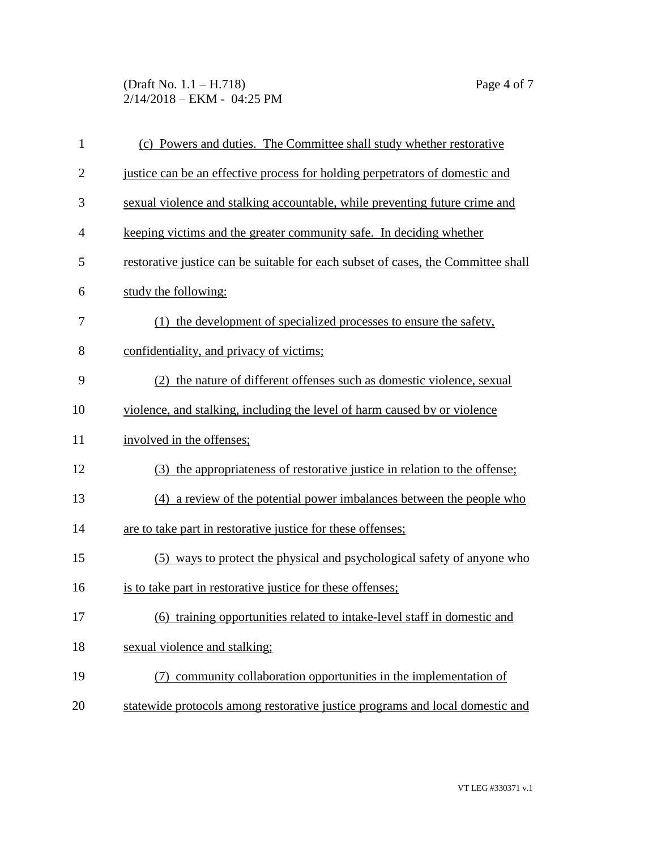(Draft No. 1.1 – H.718) Page 4 of 7 2/14/2018 – EKM - 04:25 PM

| $\mathbf{1}$   | (c) Powers and duties. The Committee shall study whether restorative              |  |  |
|----------------|-----------------------------------------------------------------------------------|--|--|
| $\overline{2}$ | justice can be an effective process for holding perpetrators of domestic and      |  |  |
| 3              | sexual violence and stalking accountable, while preventing future crime and       |  |  |
| $\overline{4}$ | keeping victims and the greater community safe. In deciding whether               |  |  |
| 5              | restorative justice can be suitable for each subset of cases, the Committee shall |  |  |
| 6              | study the following:                                                              |  |  |
| 7              | (1) the development of specialized processes to ensure the safety,                |  |  |
| 8              | confidentiality, and privacy of victims;                                          |  |  |
| 9              | (2) the nature of different offenses such as domestic violence, sexual            |  |  |
| 10             | violence, and stalking, including the level of harm caused by or violence         |  |  |
| 11             | involved in the offenses;                                                         |  |  |
| 12             | (3) the appropriateness of restorative justice in relation to the offense;        |  |  |
| 13             | (4) a review of the potential power imbalances between the people who             |  |  |
| 14             | are to take part in restorative justice for these offenses;                       |  |  |
| 15             | (5) ways to protect the physical and psychological safety of anyone who           |  |  |
| 16             | is to take part in restorative justice for these offenses;                        |  |  |
| 17             | (6) training opportunities related to intake-level staff in domestic and          |  |  |
| 18             | sexual violence and stalking;                                                     |  |  |
| 19             | (7) community collaboration opportunities in the implementation of                |  |  |
| 20             | statewide protocols among restorative justice programs and local domestic and     |  |  |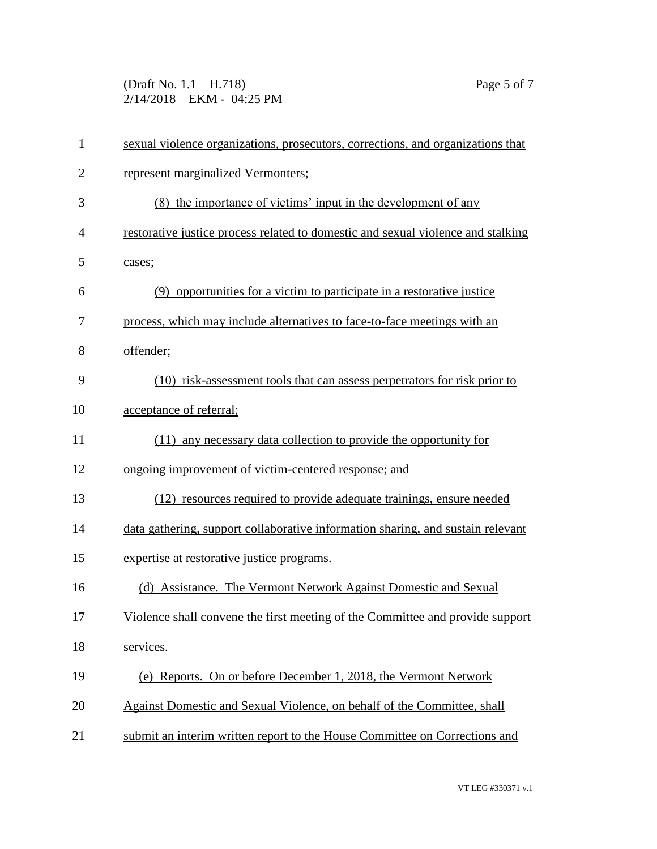(Draft No. 1.1 – H.718) Page 5 of 7 2/14/2018 – EKM - 04:25 PM

| $\mathbf{1}$   | sexual violence organizations, prosecutors, corrections, and organizations that  |  |  |
|----------------|----------------------------------------------------------------------------------|--|--|
| $\overline{2}$ | represent marginalized Vermonters;                                               |  |  |
| 3              | (8) the importance of victims' input in the development of any                   |  |  |
| $\overline{4}$ | restorative justice process related to domestic and sexual violence and stalking |  |  |
| 5              | cases;                                                                           |  |  |
| 6              | (9) opportunities for a victim to participate in a restorative justice           |  |  |
| 7              | process, which may include alternatives to face-to-face meetings with an         |  |  |
| 8              | offender;                                                                        |  |  |
| 9              | (10) risk-assessment tools that can assess perpetrators for risk prior to        |  |  |
| 10             | acceptance of referral;                                                          |  |  |
| 11             | (11) any necessary data collection to provide the opportunity for                |  |  |
| 12             | ongoing improvement of victim-centered response; and                             |  |  |
| 13             | (12) resources required to provide adequate trainings, ensure needed             |  |  |
| 14             | data gathering, support collaborative information sharing, and sustain relevant  |  |  |
| 15             | expertise at restorative justice programs.                                       |  |  |
| 16             | (d) Assistance. The Vermont Network Against Domestic and Sexual                  |  |  |
| 17             | Violence shall convene the first meeting of the Committee and provide support    |  |  |
| 18             | services.                                                                        |  |  |
| 19             | (e) Reports. On or before December 1, 2018, the Vermont Network                  |  |  |
| 20             | Against Domestic and Sexual Violence, on behalf of the Committee, shall          |  |  |
| 21             | submit an interim written report to the House Committee on Corrections and       |  |  |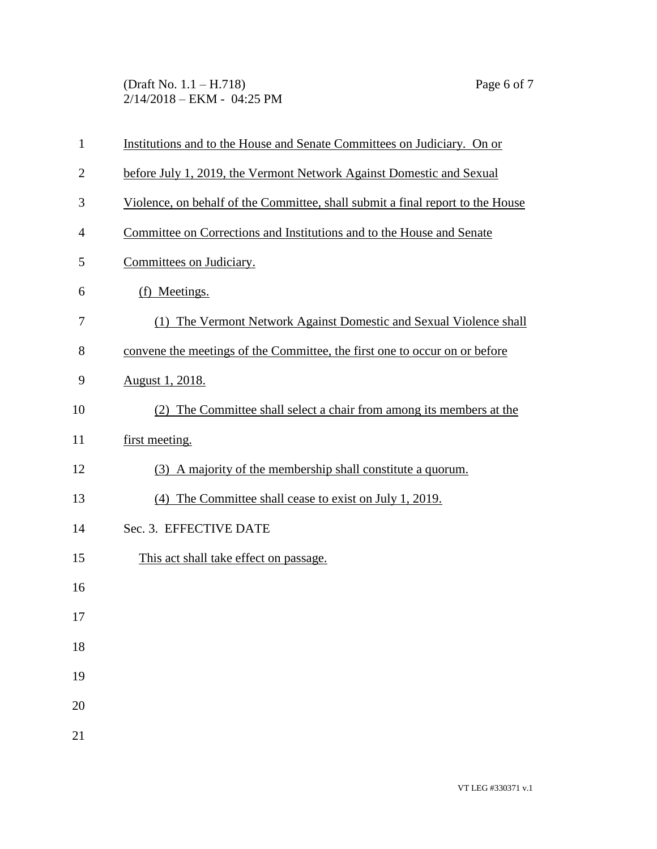(Draft No. 1.1 – H.718) Page 6 of 7 2/14/2018 – EKM - 04:25 PM

| $\mathbf{1}$   | Institutions and to the House and Senate Committees on Judiciary. On or        |  |
|----------------|--------------------------------------------------------------------------------|--|
| $\overline{2}$ | before July 1, 2019, the Vermont Network Against Domestic and Sexual           |  |
| 3              | Violence, on behalf of the Committee, shall submit a final report to the House |  |
| 4              | Committee on Corrections and Institutions and to the House and Senate          |  |
| 5              | Committees on Judiciary.                                                       |  |
| 6              | (f) Meetings.                                                                  |  |
| 7              | (1) The Vermont Network Against Domestic and Sexual Violence shall             |  |
| 8              | convene the meetings of the Committee, the first one to occur on or before     |  |
| 9              | <u>August 1, 2018.</u>                                                         |  |
| 10             | (2) The Committee shall select a chair from among its members at the           |  |
| 11             | first meeting.                                                                 |  |
| 12             | (3) A majority of the membership shall constitute a quorum.                    |  |
| 13             | (4) The Committee shall cease to exist on July 1, 2019.                        |  |
| 14             | Sec. 3. EFFECTIVE DATE                                                         |  |
| 15             | This act shall take effect on passage.                                         |  |
| 16             |                                                                                |  |
| 17             |                                                                                |  |
| 18             |                                                                                |  |
| 19             |                                                                                |  |
| 20             |                                                                                |  |
| 21             |                                                                                |  |